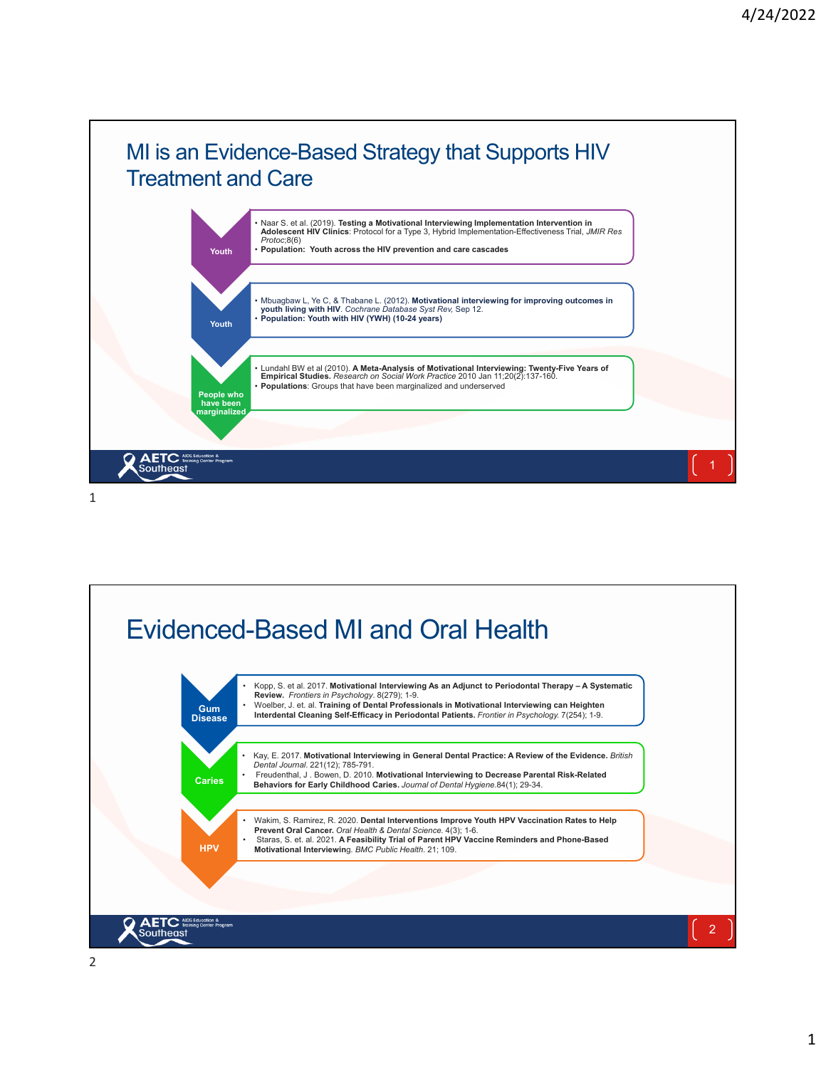

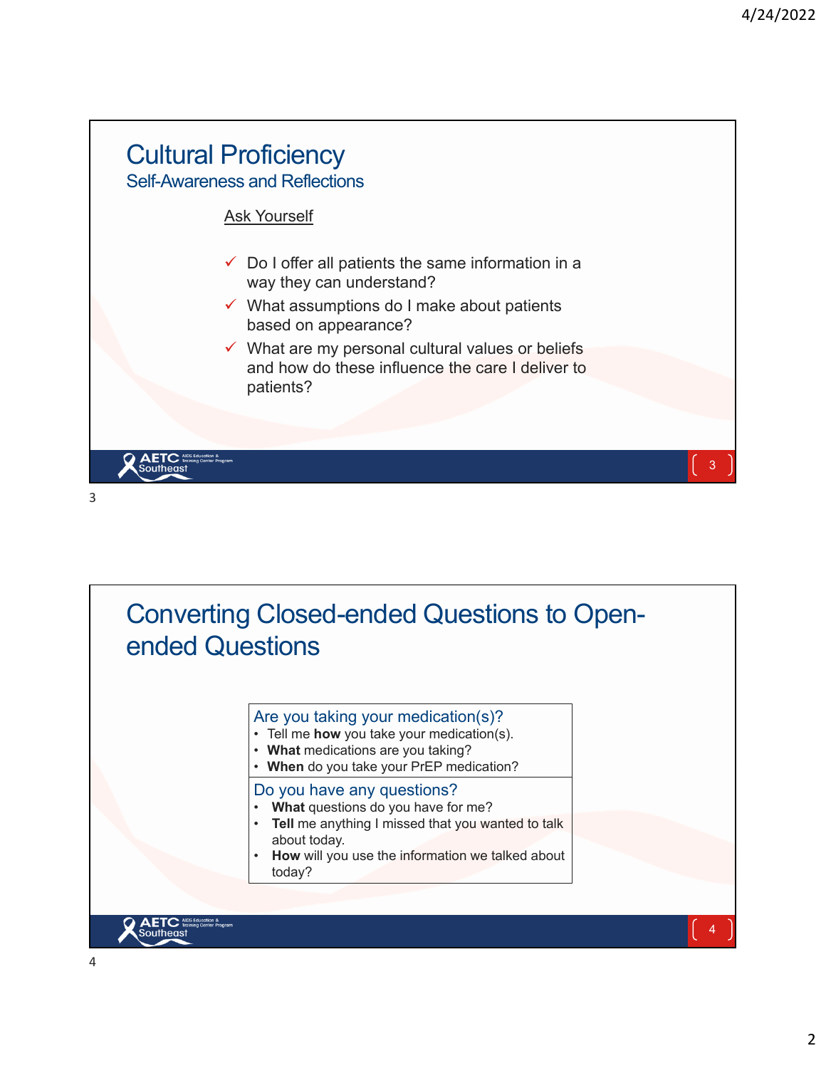

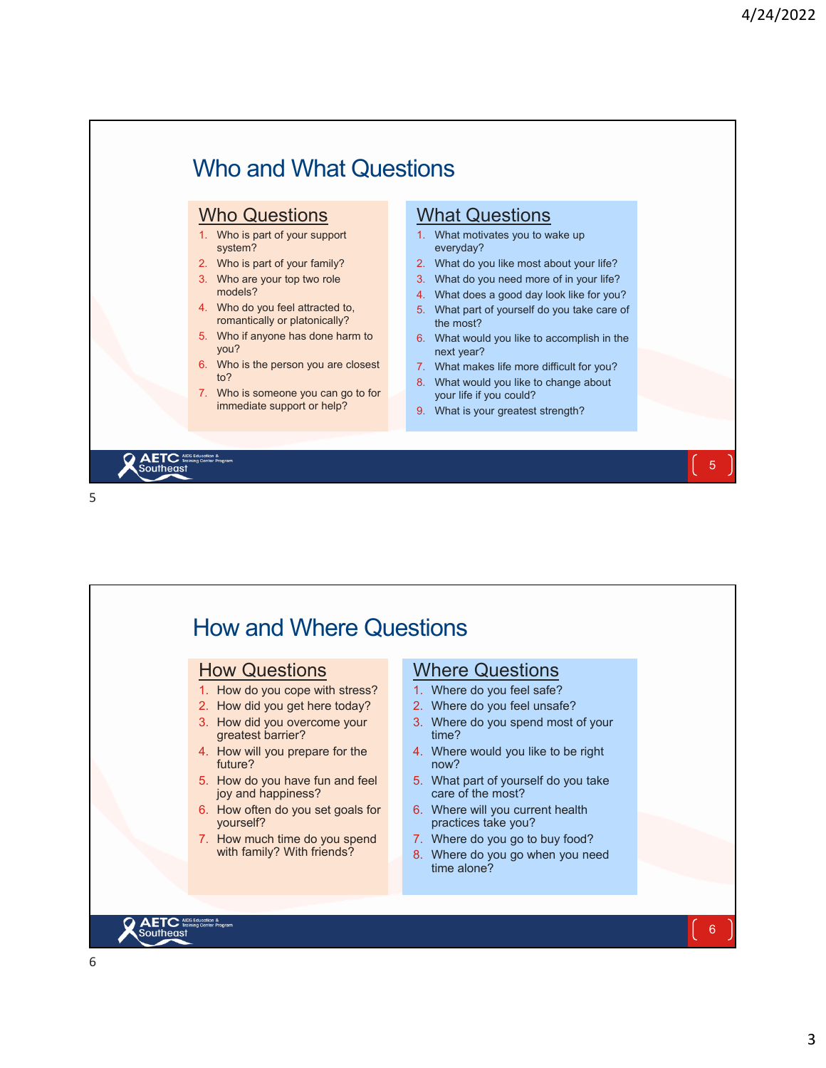

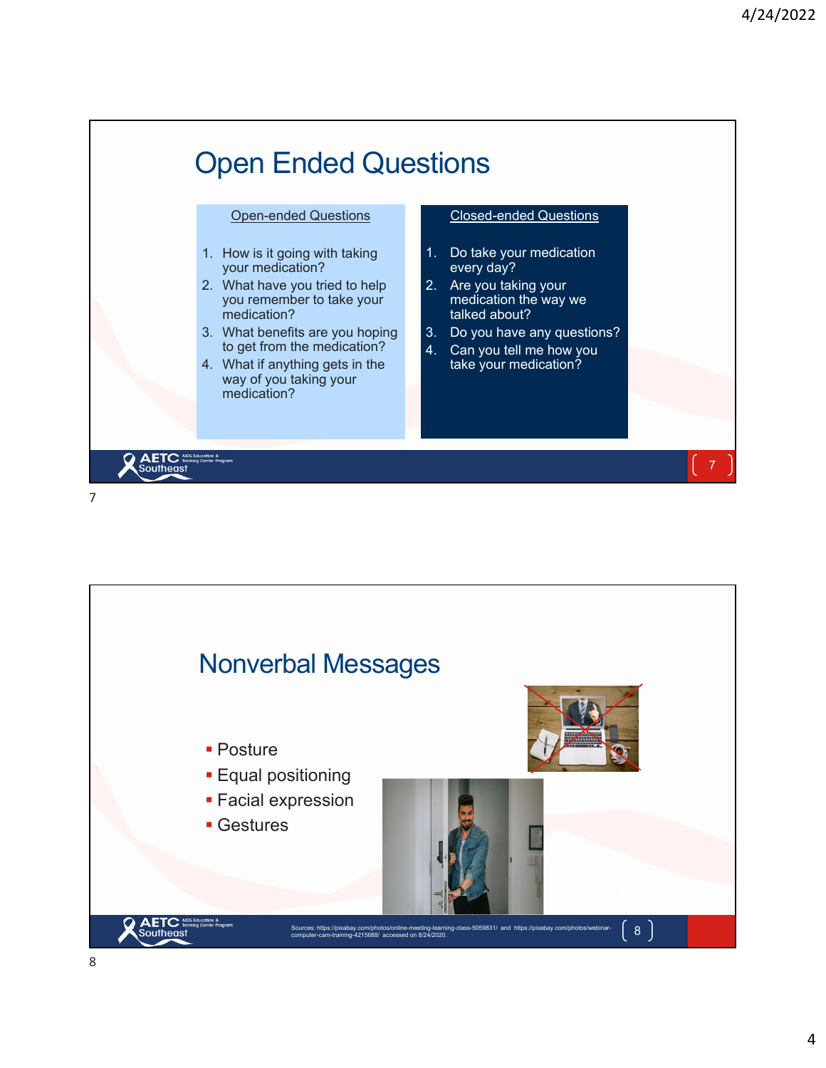

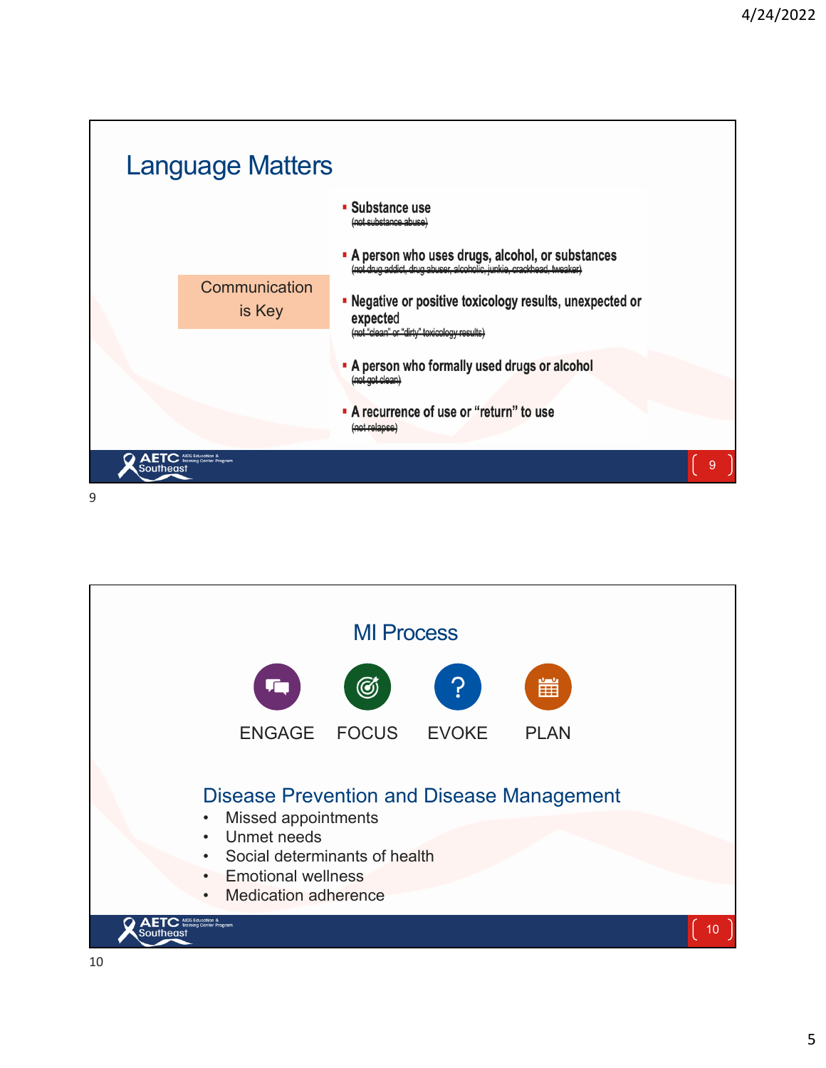

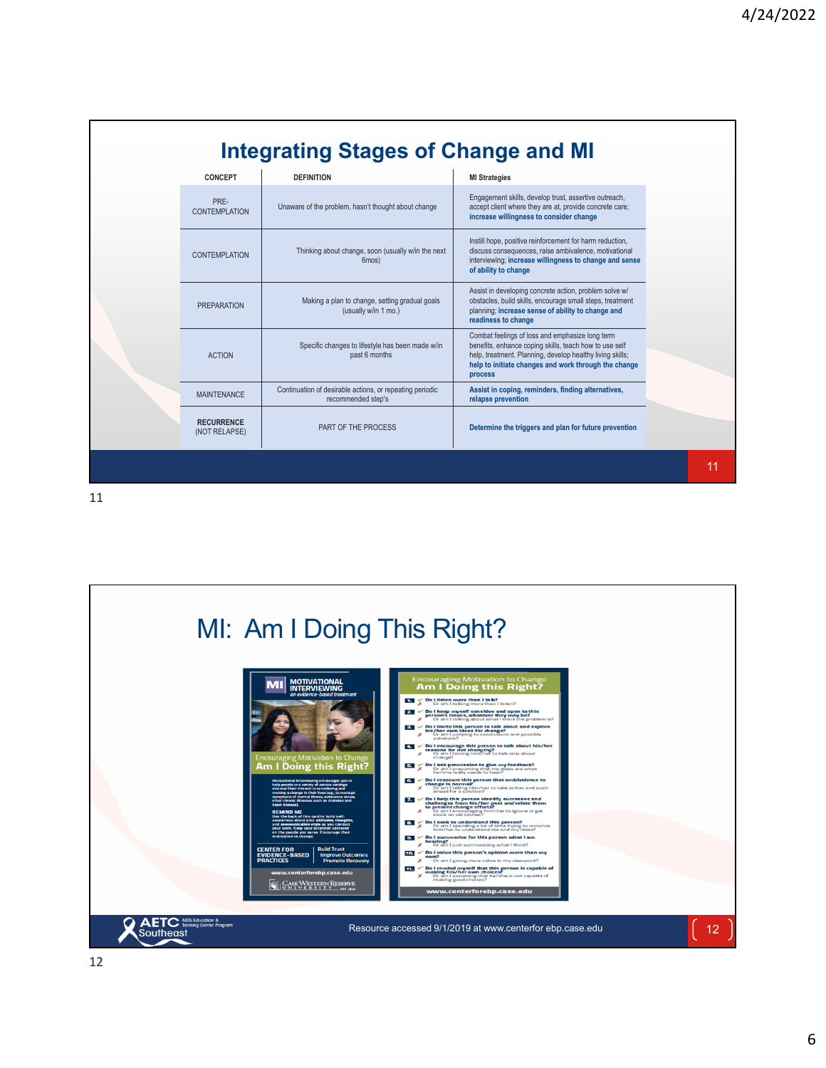| <b>Integrating Stages of Change and MI</b> |                                    |                                                                                |                                                                                                                                                                                                                                           |    |
|--------------------------------------------|------------------------------------|--------------------------------------------------------------------------------|-------------------------------------------------------------------------------------------------------------------------------------------------------------------------------------------------------------------------------------------|----|
|                                            | <b>CONCEPT</b>                     | <b>DEFINITION</b>                                                              | <b>MI Strategies</b>                                                                                                                                                                                                                      |    |
|                                            | PRE-<br><b>CONTEMPLATION</b>       | Unaware of the problem, hasn't thought about change                            | Engagement skills, develop trust, assertive outreach,<br>accept client where they are at, provide concrete care;<br>increase willingness to consider change                                                                               |    |
|                                            | <b>CONTEMPLATION</b>               | Thinking about change, soon (usually w/in the next<br>6mos)                    | Instill hope, positive reinforcement for harm reduction,<br>discuss consequences, raise ambivalence, motivational<br>interviewing; increase willingness to change and sense<br>of ability to change                                       |    |
|                                            | <b>PREPARATION</b>                 | Making a plan to change, setting gradual goals<br>(usually w/in 1 mo.)         | Assist in developing concrete action, problem solve w/<br>obstacles, build skills, encourage small steps, treatment<br>planning; increase sense of ability to change and<br>readiness to change                                           |    |
|                                            | <b>ACTION</b>                      | Specific changes to lifestyle has been made w/in<br>past 6 months              | Combat feelings of loss and emphasize long term<br>benefits, enhance coping skills, teach how to use self<br>help, treatment. Planning, develop healthy living skills;<br>help to initiate changes and work through the change<br>process |    |
|                                            | <b>MAINTENANCE</b>                 | Continuation of desirable actions, or repeating periodic<br>recommended step's | Assist in coping, reminders, finding alternatives,<br>relapse prevention                                                                                                                                                                  |    |
|                                            | <b>RECURRENCE</b><br>(NOT RELAPSE) | PART OF THE PROCESS                                                            | Determine the triggers and plan for future prevention                                                                                                                                                                                     |    |
|                                            |                                    |                                                                                |                                                                                                                                                                                                                                           | 11 |

11